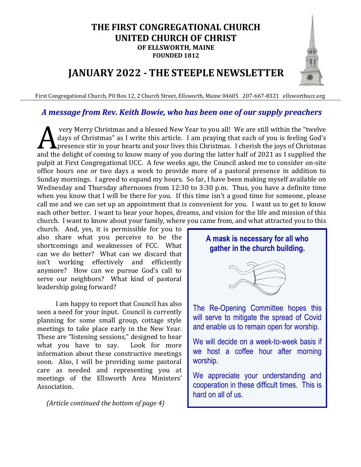#### **THE FIRST CONGREGATIONAL CHURCH UNITED CHURCH OF CHRIST OF ELLSWORTH, MAINE FOUNDED 1812**

## **JANUARY 2022 - THE STEEPLE NEWSLETTER**

First Congregational Church, PO Box 12, 2 Church Street, Ellsworth, Maine 04605 207-667-8321 ellsworthucc.org

#### *A message from Rev. Keith Bowie, who has been one of our supply preachers*

very Merry Christmas and a blessed New Year to you all! We are still within the "twelve days of Christmas" as I write this article. I am praying that each of you is feeling God's presence stir in your hearts and your lives this Christmas. I cherish the joys of Christmas **A** very Merry Christmas and a blessed New Year to you all! We are still within the "twelve days of Christmas" as I write this article. I am praying that each of you is feeling God's presence stir in your hearts and your l pulpit at First Congregational UCC. A few weeks ago, the Council asked me to consider on-site office hours one or two days a week to provide more of a pastoral presence in addition to Sunday mornings. I agreed to expand my hours. So far, I have been making myself available on Wednesday and Thursday afternoons from 12:30 to 3:30 p.m. Thus, you have a definite time when you know that I will be there for you. If this time isn't a good time for someone, please call me and we can set up an appointment that is convenient for you. I want us to get to know each other better. I want to hear your hopes, dreams, and vision for the life and mission of this church. I want to know about your family, where you came from, and what attracted you to this

church. And, yes, it is permissible for you to also share what you perceive to be the shortcomings and weaknesses of FCC. What can we do better? What can we discard that isn't working effectively and efficiently anymore? How can we pursue God's call to serve our neighbors? What kind of pastoral leadership going forward?

I am happy to report that Council has also seen a need for your input. Council is currently planning for some small group, cottage style meetings to take place early in the New Year. These are "listening sessions," designed to hear what you have to say. Look for more information about these constructive meetings soon. Also, I will be providing some pastoral care as needed and representing you at meetings of the Ellsworth Area Ministers' Association.

 *(Article continued the bottom of page 4)*

#### **A mask is necessary for all who gather in the church building.**



The Re-Opening Committee hopes this will serve to mitigate the spread of Covid and enable us to remain open for worship.

We will decide on a week-to-week basis if we host a coffee hour after morning worship.

We appreciate your understanding and cooperation in these difficult times. This is hard on all of us.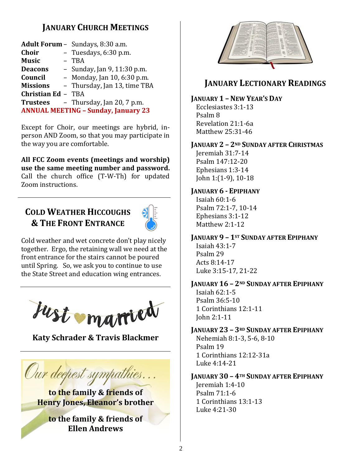## **JANUARY CHURCH MEETINGS**

|                           | Adult Forum - Sundays, 8:30 a.m.           |
|---------------------------|--------------------------------------------|
| <b>Choir</b>              | - Tuesdays, 6:30 p.m.                      |
| <b>Music</b>              | - TBA                                      |
| <b>Deacons</b>            | - Sunday, Jan 9, 11:30 p.m.                |
| Council                   | - Monday, Jan 10, 6:30 p.m.                |
| <b>Missions</b>           | - Thursday, Jan 13, time TBA               |
| <b>Christian Ed - TBA</b> |                                            |
| <b>Trustees</b>           | - Thursday, Jan 20, 7 p.m.                 |
|                           | <b>ANNUAL MEETING - Sunday, January 23</b> |
|                           |                                            |

Except for Choir, our meetings are hybrid, inperson AND Zoom, so that you may participate in the way you are comfortable.

**All FCC Zoom events (meetings and worship) use the same meeting number and password.** Call the church office (T-W-Th) for updated Zoom instructions.

## **COLD WEATHER HICCOUGHS & THE FRONT ENTRANCE**



Cold weather and wet concrete don't play nicely together. Ergo, the retaining wall we need at the front entrance for the stairs cannot be poured until Spring. So, we ask you to continue to use the State Street and education wing entrances.



**Katy Schrader & Travis Blackmer**

Our deepest sympathies.

**to the family & friends of Henry Jones, Eleanor's brother**

**to the family & friends of Ellen Andrews**



## **JANUARY LECTIONARY READINGS**

## **JANUARY 1 – NEW YEAR'S DAY**

Ecclesiastes 3:1-13 Psalm 8 Revelation 21:1-6a Matthew 25:31-46

## **JANUARY 2 – 2ND SUNDAY AFTER CHRISTMAS**

Jeremiah 31:7-14 Psalm 147:12-20 Ephesians 1:3-14 John 1:(1-9), 10-18

## **JANUARY 6 - EPIPHANY**

Isaiah 60:1-6 Psalm 72:1-7, 10-14 Ephesians 3:1-12 Matthew 2:1-12

## **JANUARY 9 – 1ST SUNDAY AFTER EPIPHANY**

Isaiah 43:1-7 Psalm 29 Acts 8:14-17 Luke 3:15-17, 21-22

#### **JANUARY 16 – 2ND SUNDAY AFTER EPIPHANY** Isaiah 62:1-5 Psalm 36:5-10 1 Corinthians 12:1-11 John 2:1-11

**JANUARY 23 – 3RD SUNDAY AFTER EPIPHANY** Nehemiah 8:1-3, 5-6, 8-10 Psalm 19 1 Corinthians 12:12-31a Luke 4:14-21

#### **JANUARY 30 – 4TH SUNDAY AFTER EPIPHANY**

Jeremiah 1:4-10 Psalm 71:1-6 1 Corinthians 13:1-13 Luke 4:21-30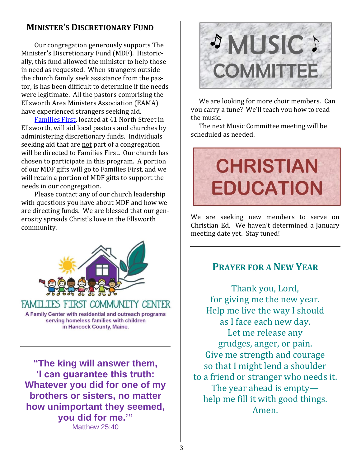## **MINISTER'S DISCRETIONARY FUND**

Our congregation generously supports The Minister's Discretionary Fund (MDF). Historically, this fund allowed the minister to help those in need as requested. When strangers outside the church family seek assistance from the pastor, is has been difficult to determine if the needs were legitimate. All the pastors comprising the Ellsworth Area Ministers Association (EAMA) have experienced strangers seeking aid.

[Families First,](https://familiesfirstellsworth.org/) located at 41 North Street in Ellsworth, will aid local pastors and churches by administering discretionary funds. Individuals seeking aid that are not part of a congregation will be directed to Families First. Our church has chosen to participate in this program. A portion of our MDF gifts will go to Families First, and we will retain a portion of MDF gifts to support the needs in our congregation.

Please contact any of our church leadership with questions you have about MDF and how we are directing funds. We are blessed that our generosity spreads Christ's love in the Ellsworth community.



**"The king will answer them, 'I can guarantee this truth: Whatever you did for one of my brothers or sisters, no matter how unimportant they seemed, you did for me.'"** Matthew 25:40



We are looking for more choir members. Can you carry a tune? We'll teach you how to read the music.

The next Music Committee meeting will be scheduled as needed.



We are seeking new members to serve on Christian Ed. We haven't determined a January meeting date yet. Stay tuned!

## **PRAYER FOR A NEW YEAR**

Thank you, Lord, for giving me the new year. Help me live the way I should as I face each new day. Let me release any grudges, anger, or pain. Give me strength and courage so that I might lend a shoulder to a friend or stranger who needs it. The year ahead is empty help me fill it with good things. Amen.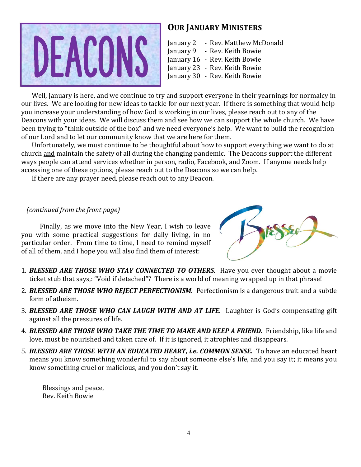

#### **OUR JANUARY MINISTERS**

January 2 - Rev. Matthew McDonald January 9 - Rev. Keith Bowie

- January 16 Rev. Keith Bowie
- January 23 Rev. Keith Bowie
- January 30 Rev. Keith Bowie

Well, January is here, and we continue to try and support everyone in their yearnings for normalcy in our lives. We are looking for new ideas to tackle for our next year. If there is something that would help you increase your understanding of how God is working in our lives, please reach out to any of the Deacons with your ideas. We will discuss them and see how we can support the whole church. We have been trying to "think outside of the box" and we need everyone's help. We want to build the recognition of our Lord and to let our community know that we are here for them.

Unfortunately, we must continue to be thoughtful about how to support everything we want to do at church and maintain the safety of all during the changing pandemic. The Deacons support the different ways people can attend services whether in person, radio, Facebook, and Zoom. If anyone needs help accessing one of these options, please reach out to the Deacons so we can help.

If there are any prayer need, please reach out to any Deacon.

#### *(continued from the front page)*

Finally, as we move into the New Year, I wish to leave you with some practical suggestions for daily living, in no particular order. From time to time, I need to remind myself of all of them, and I hope you will also find them of interest:



- 1. *BLESSED ARE THOSE WHO STAY CONNECTED TO OTHERS.* Have you ever thought about a movie ticket stub that says,: "Void if detached"? There is a world of meaning wrapped up in that phrase!
- 2. *BLESSED ARE THOSE WHO REJECT PERFECTIONISM.* Perfectionism is a dangerous trait and a subtle form of atheism.
- 3. *BLESSED ARE THOSE WHO CAN LAUGH WITH AND AT LIFE.* Laughter is God's compensating gift against all the pressures of life.
- 4. *BLESSED ARE THOSE WHO TAKE THE TIME TO MAKE AND KEEP A FRIEND.* Friendship, like life and love, must be nourished and taken care of. If it is ignored, it atrophies and disappears.
- 5. *BLESSED ARE THOSE WITH AN EDUCATED HEART, i.e. COMMON SENSE.* To have an educated heart means you know something wonderful to say about someone else's life, and you say it; it means you know something cruel or malicious, and you don't say it.

Blessings and peace, Rev. Keith Bowie